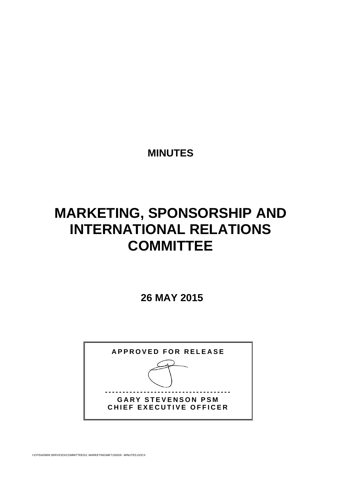**MINUTES** 

# **MARKETING, SPONSORSHIP AND INTERNATIONAL RELATIONS COMMITTEE**

 **26 MAY 2015** 

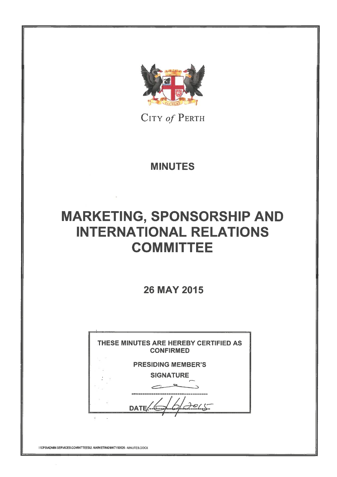

CITY of PERTH

**MINUTES** 

# **MARKETING, SPONSORSHIP AND INTERNATIONAL RELATIONS COMMITTEE**

**26 MAY 2015** 



INCPS\ADMIN SERVICES\COMMITTEES\2. MARKETING\MKT150526 - MINUTES.DOCX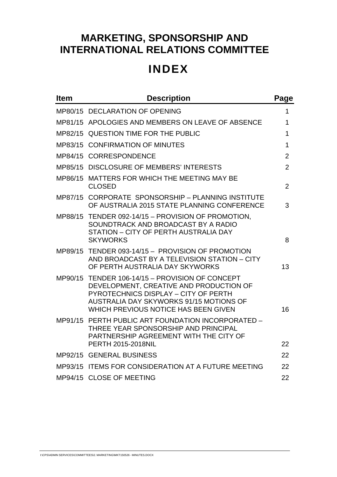# **MARKETING, SPONSORSHIP AND INTERNATIONAL RELATIONS COMMITTEE**

# **INDEX**

| <b>Item</b> | <b>Description</b>                                                                                                                                                                                                    | Page           |
|-------------|-----------------------------------------------------------------------------------------------------------------------------------------------------------------------------------------------------------------------|----------------|
|             | MP80/15 DECLARATION OF OPENING                                                                                                                                                                                        | 1              |
|             | MP81/15 APOLOGIES AND MEMBERS ON LEAVE OF ABSENCE                                                                                                                                                                     | 1              |
|             | MP82/15 QUESTION TIME FOR THE PUBLIC                                                                                                                                                                                  | 1              |
|             | MP83/15 CONFIRMATION OF MINUTES                                                                                                                                                                                       | 1              |
|             | MP84/15 CORRESPONDENCE                                                                                                                                                                                                | $\overline{2}$ |
|             | MP85/15 DISCLOSURE OF MEMBERS' INTERESTS                                                                                                                                                                              | $\overline{2}$ |
|             | MP86/15 MATTERS FOR WHICH THE MEETING MAY BE<br><b>CLOSED</b>                                                                                                                                                         | $\overline{2}$ |
|             | MP87/15 CORPORATE SPONSORSHIP - PLANNING INSTITUTE<br>OF AUSTRALIA 2015 STATE PLANNING CONFERENCE                                                                                                                     | 3              |
|             | MP88/15 TENDER 092-14/15 - PROVISION OF PROMOTION,<br>SOUNDTRACK AND BROADCAST BY A RADIO<br>STATION - CITY OF PERTH AUSTRALIA DAY<br><b>SKYWORKS</b>                                                                 | 8              |
|             | MP89/15 TENDER 093-14/15 - PROVISION OF PROMOTION<br>AND BROADCAST BY A TELEVISION STATION - CITY<br>OF PERTH AUSTRALIA DAY SKYWORKS                                                                                  | 13             |
|             | MP90/15 TENDER 106-14/15 - PROVISION OF CONCEPT<br>DEVELOPMENT, CREATIVE AND PRODUCTION OF<br>PYROTECHNICS DISPLAY - CITY OF PERTH<br>AUSTRALIA DAY SKYWORKS 91/15 MOTIONS OF<br>WHICH PREVIOUS NOTICE HAS BEEN GIVEN | 16             |
|             | MP91/15 PERTH PUBLIC ART FOUNDATION INCORPORATED -<br>THREE YEAR SPONSORSHIP AND PRINCIPAL<br>PARTNERSHIP AGREEMENT WITH THE CITY OF<br><b>PERTH 2015-2018NIL</b>                                                     | 22             |
|             | MP92/15 GENERAL BUSINESS                                                                                                                                                                                              | 22             |
|             | MP93/15 ITEMS FOR CONSIDERATION AT A FUTURE MEETING                                                                                                                                                                   | 22             |
|             | MP94/15 CLOSE OF MEETING                                                                                                                                                                                              | 22             |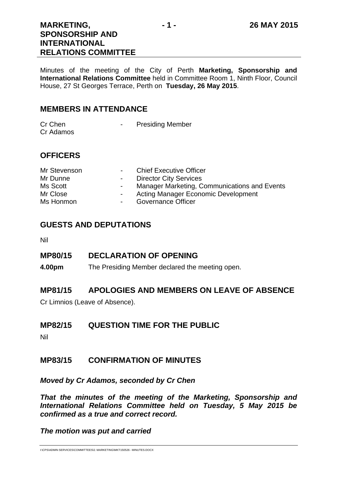## **MARKETING, SPONSORSHIP AND INTERNATIONAL RELATIONS COMMITTEE**

Minutes of the meeting of the City of Perth **Marketing, Sponsorship and International Relations Committee** held in Committee Room 1, Ninth Floor, Council House, 27 St Georges Terrace, Perth on **Tuesday, 26 May 2015**.

## **MEMBERS IN ATTENDANCE**

| Cr Chen   | <b>Presiding Member</b> |
|-----------|-------------------------|
| Cr Adamos |                         |

## **OFFICERS**

| Mr Stevenson | <b>All Control</b> | <b>Chief Executive Officer</b>               |
|--------------|--------------------|----------------------------------------------|
| Mr Dunne     | $\sim 100$         | <b>Director City Services</b>                |
| Ms Scott     | $\sim$ $-$         | Manager Marketing, Communications and Events |
| Mr Close     | $\sim 100$         | Acting Manager Economic Development          |
| Ms Honmon    | $\sim$             | Governance Officer                           |

## **GUESTS AND DEPUTATIONS**

Nil

## **MP80/15 DECLARATION OF OPENING**

**4.00pm** The Presiding Member declared the meeting open.

## **MP81/15 APOLOGIES AND MEMBERS ON LEAVE OF ABSENCE**

Cr Limnios (Leave of Absence).

## **MP82/15 QUESTION TIME FOR THE PUBLIC**

Nil

## **MP83/15 CONFIRMATION OF MINUTES**

*Moved by Cr Adamos, seconded by Cr Chen* 

*That the minutes of the meeting of the Marketing, Sponsorship and International Relations Committee held on Tuesday, 5 May 2015 be confirmed as a true and correct record.* 

*The motion was put and carried*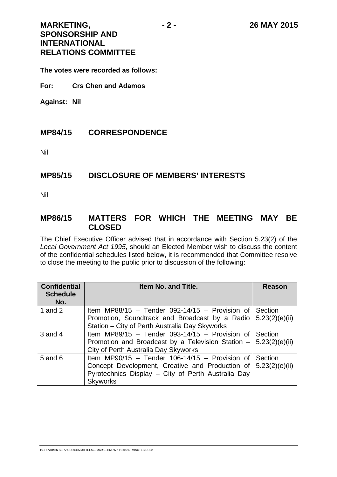**The votes were recorded as follows:** 

**For: Crs Chen and Adamos** 

**Against: Nil** 

## **MP84/15 CORRESPONDENCE**

Nil

### **MP85/15 DISCLOSURE OF MEMBERS' INTERESTS**

Nil

## **MP86/15 MATTERS FOR WHICH THE MEETING MAY BE CLOSED**

The Chief Executive Officer advised that in accordance with Section 5.23(2) of the *Local Government Act 1995*, should an Elected Member wish to discuss the content of the confidential schedules listed below, it is recommended that Committee resolve to close the meeting to the public prior to discussion of the following:

| <b>Confidential</b><br><b>Schedule</b><br>No. | Item No. and Title.                                | <b>Reason</b>  |
|-----------------------------------------------|----------------------------------------------------|----------------|
| 1 and $2$                                     | Item MP88/15 - Tender 092-14/15 - Provision of     | Section        |
|                                               | Promotion, Soundtrack and Broadcast by a Radio     | 5.23(2)(e)(ii) |
|                                               | Station – City of Perth Australia Day Skyworks     |                |
| $3$ and $4$                                   | Item MP89/15 - Tender 093-14/15 - Provision of     | Section        |
|                                               | Promotion and Broadcast by a Television Station -  | 5.23(2)(e)(ii) |
|                                               | City of Perth Australia Day Skyworks               |                |
| $5$ and $6$                                   | Item MP90/15 - Tender 106-14/15 - Provision of     | Section        |
|                                               | Concept Development, Creative and Production of    | 5.23(2)(e)(ii) |
|                                               | Pyrotechnics Display - City of Perth Australia Day |                |
|                                               | <b>Skyworks</b>                                    |                |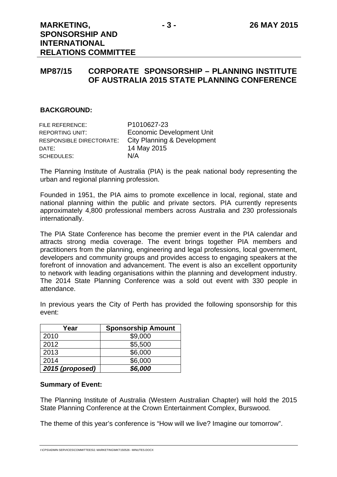## **MP87/15 CORPORATE SPONSORSHIP – PLANNING INSTITUTE OF AUSTRALIA 2015 STATE PLANNING CONFERENCE**

#### **BACKGROUND:**

| FILE REFERENCE:          | P1010627-23                      |
|--------------------------|----------------------------------|
| <b>REPORTING UNIT:</b>   | <b>Economic Development Unit</b> |
| RESPONSIBLE DIRECTORATE: | City Planning & Development      |
| DATE:                    | 14 May 2015                      |
| SCHEDULES:               | N/A                              |

The Planning Institute of Australia (PIA) is the peak national body representing the urban and regional planning profession.

Founded in 1951, the PIA aims to promote excellence in local, regional, state and national planning within the public and private sectors. PIA currently represents approximately 4,800 professional members across Australia and 230 professionals internationally.

The PIA State Conference has become the premier event in the PIA calendar and attracts strong media coverage. The event brings together PIA members and practitioners from the planning, engineering and legal professions, local government, developers and community groups and provides access to engaging speakers at the forefront of innovation and advancement. The event is also an excellent opportunity to network with leading organisations within the planning and development industry. The 2014 State Planning Conference was a sold out event with 330 people in attendance.

| Year            | <b>Sponsorship Amount</b> |
|-----------------|---------------------------|
| 2010            | \$9,000                   |
| 2012            | \$5,500                   |
| 2013            | \$6,000                   |
| 2014            | \$6,000                   |
| 2015 (proposed) | \$6,000                   |

In previous years the City of Perth has provided the following sponsorship for this event:

#### **Summary of Event:**

The Planning Institute of Australia (Western Australian Chapter) will hold the 2015 State Planning Conference at the Crown Entertainment Complex, Burswood.

The theme of this year's conference is "How will we live? Imagine our tomorrow".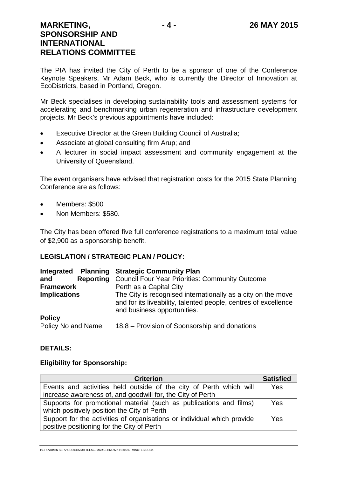The PIA has invited the City of Perth to be a sponsor of one of the Conference Keynote Speakers, Mr Adam Beck, who is currently the Director of Innovation at EcoDistricts, based in Portland, Oregon.

Mr Beck specialises in developing sustainability tools and assessment systems for accelerating and benchmarking urban regeneration and infrastructure development projects. Mr Beck's previous appointments have included:

- Executive Director at the Green Building Council of Australia;
- Associate at global consulting firm Arup; and
- A lecturer in social impact assessment and community engagement at the University of Queensland.

The event organisers have advised that registration costs for the 2015 State Planning Conference are as follows:

- Members: \$500
- Non Members: \$580.

The City has been offered five full conference registrations to a maximum total value of \$2,900 as a sponsorship benefit.

#### **LEGISLATION / STRATEGIC PLAN / POLICY:**

|                         | Integrated Planning Strategic Community Plan                                                                                                                   |
|-------------------------|----------------------------------------------------------------------------------------------------------------------------------------------------------------|
| <b>Reporting</b><br>and | <b>Council Four Year Priorities: Community Outcome</b>                                                                                                         |
| <b>Framework</b>        | Perth as a Capital City                                                                                                                                        |
| <b>Implications</b>     | The City is recognised internationally as a city on the move<br>and for its liveability, talented people, centres of excellence<br>and business opportunities. |
| <b>Policy</b>           |                                                                                                                                                                |
| Policy No and Name:     | 18.8 – Provision of Sponsorship and donations                                                                                                                  |

#### **DETAILS:**

#### **Eligibility for Sponsorship:**

| <b>Criterion</b>                                                        | <b>Satisfied</b> |
|-------------------------------------------------------------------------|------------------|
| Events and activities held outside of the city of Perth which will      | Yes              |
| increase awareness of, and goodwill for, the City of Perth              |                  |
| Supports for promotional material (such as publications and films)      | Yes              |
| which positively position the City of Perth                             |                  |
| Support for the activities of organisations or individual which provide | Yes              |
| positive positioning for the City of Perth                              |                  |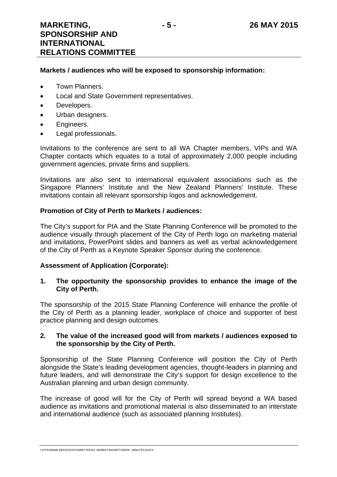#### **Markets / audiences who will be exposed to sponsorship information:**

- Town Planners.
- Local and State Government representatives.
- Developers.
- Urban designers.
- **•** Engineers.
- Legal professionals.

Invitations to the conference are sent to all WA Chapter members, VIPs and WA Chapter contacts which equates to a total of approximately 2,000 people including government agencies, private firms and suppliers.

Invitations are also sent to international equivalent associations such as the Singapore Planners' Institute and the New Zealand Planners' Institute. These invitations contain all relevant sponsorship logos and acknowledgement.

#### **Promotion of City of Perth to Markets / audiences:**

The City's support for PIA and the State Planning Conference will be promoted to the audience visually through placement of the City of Perth logo on marketing material and invitations, PowerPoint slides and banners as well as verbal acknowledgement of the City of Perth as a Keynote Speaker Sponsor during the conference.

#### **Assessment of Application (Corporate):**

#### **1. The opportunity the sponsorship provides to enhance the image of the City of Perth.**

The sponsorship of the 2015 State Planning Conference will enhance the profile of the City of Perth as a planning leader, workplace of choice and supporter of best practice planning and design outcomes.

#### **2. The value of the increased good will from markets / audiences exposed to the sponsorship by the City of Perth.**

Sponsorship of the State Planning Conference will position the City of Perth alongside the State's leading development agencies, thought-leaders in planning and future leaders, and will demonstrate the City's support for design excellence to the Australian planning and urban design community.

The increase of good will for the City of Perth will spread beyond a WA based audience as invitations and promotional material is also disseminated to an interstate and international audience (such as associated planning Institutes).

I:\CPS\ADMIN SERVICES\COMMITTEES\2. MARKETING\MKT150526 - MINUTES.DOCX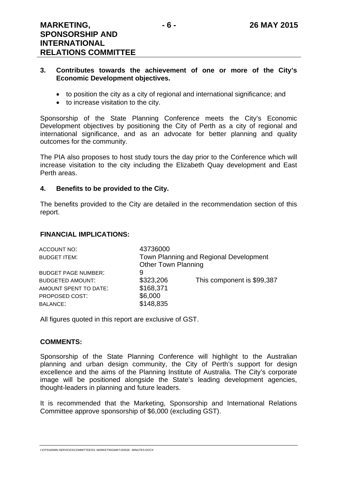#### **3. Contributes towards the achievement of one or more of the City's Economic Development objectives.**

- to position the city as a city of regional and international significance; and
- to increase visitation to the city.

Sponsorship of the State Planning Conference meets the City's Economic Development objectives by positioning the City of Perth as a city of regional and international significance, and as an advocate for better planning and quality outcomes for the community.

The PIA also proposes to host study tours the day prior to the Conference which will increase visitation to the city including the Elizabeth Quay development and East Perth areas.

#### **4. Benefits to be provided to the City.**

The benefits provided to the City are detailed in the recommendation section of this report.

#### **FINANCIAL IMPLICATIONS:**

| ACCOUNT NO:                | 43736000                   |                                        |
|----------------------------|----------------------------|----------------------------------------|
| <b>BUDGET ITEM:</b>        |                            | Town Planning and Regional Development |
|                            | <b>Other Town Planning</b> |                                        |
| <b>BUDGET PAGE NUMBER:</b> | 9                          |                                        |
| <b>BUDGETED AMOUNT:</b>    | \$323,206                  | This component is \$99,387             |
| AMOUNT SPENT TO DATE:      | \$168,371                  |                                        |
| PROPOSED COST:             | \$6,000                    |                                        |
| <b>BALANCE:</b>            | \$148,835                  |                                        |

All figures quoted in this report are exclusive of GST.

#### **COMMENTS:**

Sponsorship of the State Planning Conference will highlight to the Australian planning and urban design community, the City of Perth's support for design excellence and the aims of the Planning Institute of Australia. The City's corporate image will be positioned alongside the State's leading development agencies, thought-leaders in planning and future leaders.

It is recommended that the Marketing, Sponsorship and International Relations Committee approve sponsorship of \$6,000 (excluding GST).

I:\CPS\ADMIN SERVICES\COMMITTEES\2. MARKETING\MKT150526 - MINUTES.DOCX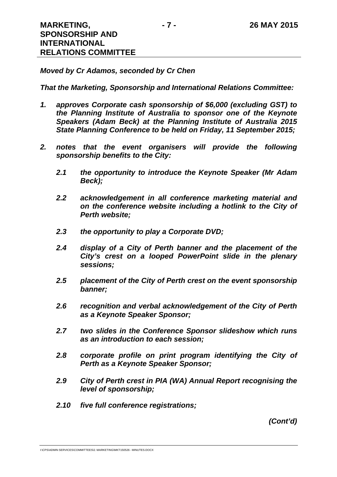#### *Moved by Cr Adamos, seconded by Cr Chen*

*That the Marketing, Sponsorship and International Relations Committee:* 

- *1. approves Corporate cash sponsorship of \$6,000 (excluding GST) to the Planning Institute of Australia to sponsor one of the Keynote Speakers (Adam Beck) at the Planning Institute of Australia 2015 State Planning Conference to be held on Friday, 11 September 2015;*
- 2. notes that the event organisers will provide the following *sponsorship benefits to the City:* 
	- *2.1 the opportunity to introduce the Keynote Speaker (Mr Adam Beck);*
	- *2.2 acknowledgement in all conference marketing material and on the conference website including a hotlink to the City of Perth website;*
	- *2.3 the opportunity to play a Corporate DVD;*
	- *2.4 display of a City of Perth banner and the placement of the City's crest on a looped PowerPoint slide in the plenary sessions;*
	- *2.5 placement of the City of Perth crest on the event sponsorship banner;*
	- *2.6 recognition and verbal acknowledgement of the City of Perth as a Keynote Speaker Sponsor;*
	- *2.7 two slides in the Conference Sponsor slideshow which runs as an introduction to each session;*
	- *2.8 corporate profile on print program identifying the City of Perth as a Keynote Speaker Sponsor;*
	- *2.9 City of Perth crest in PIA (WA) Annual Report recognising the level of sponsorship;*
	- *2.10 five full conference registrations;*

*(Cont'd)* 

I:\CPS\ADMIN SERVICES\COMMITTEES\2. MARKETING\MKT150526 - MINUTES.DOCX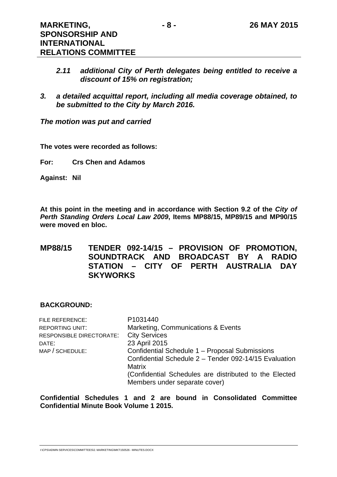- *2.11 additional City of Perth delegates being entitled to receive a discount of 15% on registration;*
- *3. a detailed acquittal report, including all media coverage obtained, to be submitted to the City by March 2016.*

*The motion was put and carried* 

**The votes were recorded as follows:** 

**For: Crs Chen and Adamos** 

**Against: Nil** 

**At this point in the meeting and in accordance with Section 9.2 of the** *City of Perth Standing Orders Local Law 2009***, Items MP88/15, MP89/15 and MP90/15 were moved en bloc.** 

## **MP88/15 TENDER 092-14/15 – PROVISION OF PROMOTION, SOUNDTRACK AND BROADCAST BY A RADIO STATION – CITY OF PERTH AUSTRALIA DAY SKYWORKS**

#### **BACKGROUND:**

| FILE REFERENCE:          | P1031440                                               |
|--------------------------|--------------------------------------------------------|
| REPORTING UNIT:          | Marketing, Communications & Events                     |
| RESPONSIBLE DIRECTORATE: | <b>City Services</b>                                   |
| DATE:                    | 23 April 2015                                          |
| MAP / SCHEDULE:          | Confidential Schedule 1 - Proposal Submissions         |
|                          | Confidential Schedule 2 - Tender 092-14/15 Evaluation  |
|                          | <b>Matrix</b>                                          |
|                          | (Confidential Schedules are distributed to the Elected |
|                          | Members under separate cover)                          |
|                          |                                                        |

**Confidential Schedules 1 and 2 are bound in Consolidated Committee Confidential Minute Book Volume 1 2015.**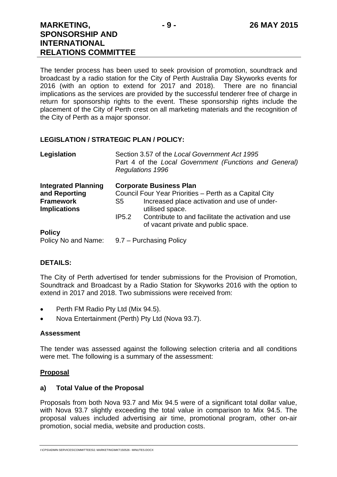The tender process has been used to seek provision of promotion, soundtrack and broadcast by a radio station for the City of Perth Australia Day Skyworks events for 2016 (with an option to extend for 2017 and 2018). There are no financial implications as the services are provided by the successful tenderer free of charge in return for sponsorship rights to the event. These sponsorship rights include the placement of the City of Perth crest on all marketing materials and the recognition of the City of Perth as a major sponsor.

#### **LEGISLATION / STRATEGIC PLAN / POLICY:**

| Legislation                             |       | Section 3.57 of the Local Government Act 1995<br>Part 4 of the Local Government (Functions and General)<br>Regulations 1996 |
|-----------------------------------------|-------|-----------------------------------------------------------------------------------------------------------------------------|
| <b>Integrated Planning</b>              |       | <b>Corporate Business Plan</b>                                                                                              |
| and Reporting                           |       | Council Four Year Priorities - Perth as a Capital City                                                                      |
| <b>Framework</b><br><b>Implications</b> | S5    | Increased place activation and use of under-<br>utilised space.                                                             |
|                                         | IP5.2 | Contribute to and facilitate the activation and use<br>of vacant private and public space.                                  |
| <b>Policy</b>                           |       |                                                                                                                             |
| Policy No and Name:                     |       | 9.7 – Purchasing Policy                                                                                                     |

#### **DETAILS:**

The City of Perth advertised for tender submissions for the Provision of Promotion, Soundtrack and Broadcast by a Radio Station for Skyworks 2016 with the option to extend in 2017 and 2018. Two submissions were received from:

- Perth FM Radio Pty Ltd (Mix 94.5).
- Nova Entertainment (Perth) Pty Ltd (Nova 93.7).

#### **Assessment**

The tender was assessed against the following selection criteria and all conditions were met. The following is a summary of the assessment:

#### **Proposal**

#### **a) Total Value of the Proposal**

Proposals from both Nova 93.7 and Mix 94.5 were of a significant total dollar value, with Nova 93.7 slightly exceeding the total value in comparison to Mix 94.5. The proposal values included advertising air time, promotional program, other on-air promotion, social media, website and production costs.

I:\CPS\ADMIN SERVICES\COMMITTEES\2. MARKETING\MKT150526 - MINUTES.DOCX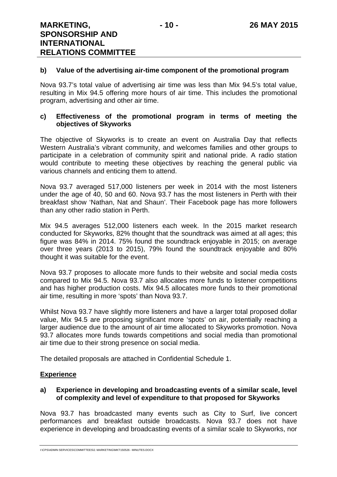#### **b) Value of the advertising air-time component of the promotional program**

Nova 93.7's total value of advertising air time was less than Mix 94.5's total value, resulting in Mix 94.5 offering more hours of air time. This includes the promotional program, advertising and other air time.

#### **c) Effectiveness of the promotional program in terms of meeting the objectives of Skyworks**

The objective of Skyworks is to create an event on Australia Day that reflects Western Australia's vibrant community, and welcomes families and other groups to participate in a celebration of community spirit and national pride. A radio station would contribute to meeting these objectives by reaching the general public via various channels and enticing them to attend.

Nova 93.7 averaged 517,000 listeners per week in 2014 with the most listeners under the age of 40, 50 and 60. Nova 93.7 has the most listeners in Perth with their breakfast show 'Nathan, Nat and Shaun'. Their Facebook page has more followers than any other radio station in Perth.

Mix 94.5 averages 512,000 listeners each week. In the 2015 market research conducted for Skyworks, 82% thought that the soundtrack was aimed at all ages; this figure was 84% in 2014. 75% found the soundtrack enjoyable in 2015; on average over three years (2013 to 2015), 79% found the soundtrack enjoyable and 80% thought it was suitable for the event.

Nova 93.7 proposes to allocate more funds to their website and social media costs compared to Mix 94.5. Nova 93.7 also allocates more funds to listener competitions and has higher production costs. Mix 94.5 allocates more funds to their promotional air time, resulting in more 'spots' than Nova 93.7.

Whilst Nova 93.7 have slightly more listeners and have a larger total proposed dollar value, Mix 94.5 are proposing significant more 'spots' on air, potentially reaching a larger audience due to the amount of air time allocated to Skyworks promotion. Nova 93.7 allocates more funds towards competitions and social media than promotional air time due to their strong presence on social media.

The detailed proposals are attached in Confidential Schedule 1.

#### **Experience**

#### **a) Experience in developing and broadcasting events of a similar scale, level of complexity and level of expenditure to that proposed for Skyworks**

Nova 93.7 has broadcasted many events such as City to Surf, live concert performances and breakfast outside broadcasts. Nova 93.7 does not have experience in developing and broadcasting events of a similar scale to Skyworks, nor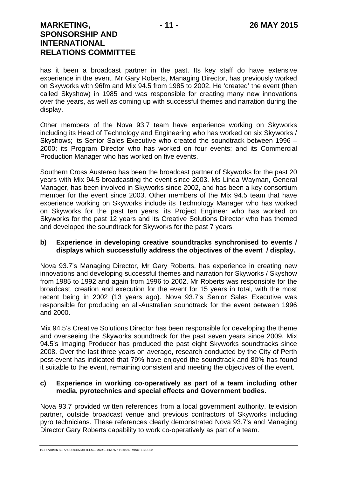has it been a broadcast partner in the past. Its key staff do have extensive experience in the event. Mr Gary Roberts, Managing Director, has previously worked on Skyworks with 96fm and Mix 94.5 from 1985 to 2002. He 'created' the event (then called Skyshow) in 1985 and was responsible for creating many new innovations over the years, as well as coming up with successful themes and narration during the display.

Other members of the Nova 93.7 team have experience working on Skyworks including its Head of Technology and Engineering who has worked on six Skyworks / Skyshows; its Senior Sales Executive who created the soundtrack between 1996 – 2000; its Program Director who has worked on four events; and its Commercial Production Manager who has worked on five events.

Southern Cross Austereo has been the broadcast partner of Skyworks for the past 20 years with Mix 94.5 broadcasting the event since 2003. Ms Linda Wayman, General Manager, has been involved in Skyworks since 2002, and has been a key consortium member for the event since 2003. Other members of the Mix 94.5 team that have experience working on Skyworks include its Technology Manager who has worked on Skyworks for the past ten years, its Project Engineer who has worked on Skyworks for the past 12 years and its Creative Solutions Director who has themed and developed the soundtrack for Skyworks for the past 7 years.

#### **b) Experience in developing creative soundtracks synchronised to events / displays which successfully address the objectives of the event / display.**

Nova 93.7's Managing Director, Mr Gary Roberts, has experience in creating new innovations and developing successful themes and narration for Skyworks / Skyshow from 1985 to 1992 and again from 1996 to 2002. Mr Roberts was responsible for the broadcast, creation and execution for the event for 15 years in total, with the most recent being in 2002 (13 years ago). Nova 93.7's Senior Sales Executive was responsible for producing an all-Australian soundtrack for the event between 1996 and 2000.

Mix 94.5's Creative Solutions Director has been responsible for developing the theme and overseeing the Skyworks soundtrack for the past seven years since 2009. Mix 94.5's Imaging Producer has produced the past eight Skyworks soundtracks since 2008. Over the last three years on average, research conducted by the City of Perth post-event has indicated that 79% have enjoyed the soundtrack and 80% has found it suitable to the event, remaining consistent and meeting the objectives of the event.

#### **c) Experience in working co-operatively as part of a team including other media, pyrotechnics and special effects and Government bodies.**

Nova 93.7 provided written references from a local government authority, television partner, outside broadcast venue and previous contractors of Skyworks including pyro technicians. These references clearly demonstrated Nova 93.7's and Managing Director Gary Roberts capability to work co-operatively as part of a team.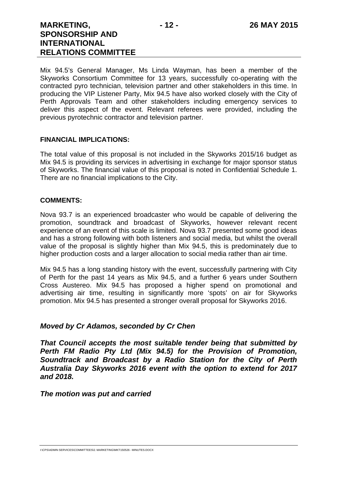## **MARKETING, SPONSORSHIP AND INTERNATIONAL RELATIONS COMMITTEE**

Mix 94.5's General Manager, Ms Linda Wayman, has been a member of the Skyworks Consortium Committee for 13 years, successfully co-operating with the contracted pyro technician, television partner and other stakeholders in this time. In producing the VIP Listener Party, Mix 94.5 have also worked closely with the City of Perth Approvals Team and other stakeholders including emergency services to deliver this aspect of the event. Relevant referees were provided, including the previous pyrotechnic contractor and television partner.

#### **FINANCIAL IMPLICATIONS:**

The total value of this proposal is not included in the Skyworks 2015/16 budget as Mix 94.5 is providing its services in advertising in exchange for major sponsor status of Skyworks. The financial value of this proposal is noted in Confidential Schedule 1. There are no financial implications to the City.

#### **COMMENTS:**

Nova 93.7 is an experienced broadcaster who would be capable of delivering the promotion, soundtrack and broadcast of Skyworks, however relevant recent experience of an event of this scale is limited. Nova 93.7 presented some good ideas and has a strong following with both listeners and social media, but whilst the overall value of the proposal is slightly higher than Mix 94.5, this is predominately due to higher production costs and a larger allocation to social media rather than air time.

Mix 94.5 has a long standing history with the event, successfully partnering with City of Perth for the past 14 years as Mix 94.5, and a further 6 years under Southern Cross Austereo. Mix 94.5 has proposed a higher spend on promotional and advertising air time, resulting in significantly more 'spots' on air for Skyworks promotion. Mix 94.5 has presented a stronger overall proposal for Skyworks 2016.

#### *Moved by Cr Adamos, seconded by Cr Chen*

*That Council accepts the most suitable tender being that submitted by Perth FM Radio Pty Ltd (Mix 94.5) for the Provision of Promotion, Soundtrack and Broadcast by a Radio Station for the City of Perth Australia Day Skyworks 2016 event with the option to extend for 2017 and 2018.* 

*The motion was put and carried*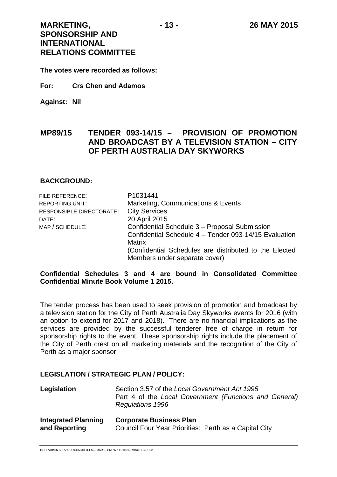**The votes were recorded as follows:** 

- **For: Crs Chen and Adamos**
- **Against: Nil**

## **MP89/15 TENDER 093-14/15 – PROVISION OF PROMOTION AND BROADCAST BY A TELEVISION STATION – CITY OF PERTH AUSTRALIA DAY SKYWORKS**

#### **BACKGROUND:**

| FILE REFERENCE:          | P1031441                                               |
|--------------------------|--------------------------------------------------------|
| <b>REPORTING UNIT:</b>   | Marketing, Communications & Events                     |
| RESPONSIBLE DIRECTORATE: | <b>City Services</b>                                   |
| DATE:                    | 20 April 2015                                          |
| MAP / SCHEDULE:          | Confidential Schedule 3 - Proposal Submission          |
|                          | Confidential Schedule 4 - Tender 093-14/15 Evaluation  |
|                          | <b>Matrix</b>                                          |
|                          | (Confidential Schedules are distributed to the Elected |
|                          | Members under separate cover)                          |

#### **Confidential Schedules 3 and 4 are bound in Consolidated Committee Confidential Minute Book Volume 1 2015.**

The tender process has been used to seek provision of promotion and broadcast by a television station for the City of Perth Australia Day Skyworks events for 2016 (with an option to extend for 2017 and 2018). There are no financial implications as the services are provided by the successful tenderer free of charge in return for sponsorship rights to the event. These sponsorship rights include the placement of the City of Perth crest on all marketing materials and the recognition of the City of Perth as a major sponsor.

#### **LEGISLATION / STRATEGIC PLAN / POLICY:**

| Legislation                | Section 3.57 of the Local Government Act 1995<br>Part 4 of the Local Government (Functions and General)<br><b>Regulations 1996</b> |
|----------------------------|------------------------------------------------------------------------------------------------------------------------------------|
| <b>Integrated Planning</b> | <b>Corporate Business Plan</b>                                                                                                     |
| and Reporting              | Council Four Year Priorities: Perth as a Capital City                                                                              |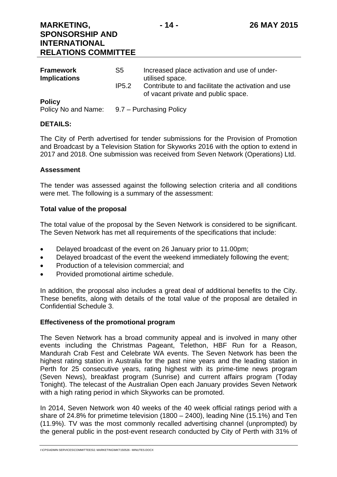| <b>Framework</b><br><b>Implications</b> | S5                                          | Increased place activation and use of under-<br>utilised space.                            |  |
|-----------------------------------------|---------------------------------------------|--------------------------------------------------------------------------------------------|--|
|                                         | IP5.2                                       | Contribute to and facilitate the activation and use<br>of vacant private and public space. |  |
| <b>Policy</b>                           | Policy No and Name: 9.7 – Purchasing Policy |                                                                                            |  |

#### **DETAILS:**

The City of Perth advertised for tender submissions for the Provision of Promotion and Broadcast by a Television Station for Skyworks 2016 with the option to extend in 2017 and 2018. One submission was received from Seven Network (Operations) Ltd.

#### **Assessment**

The tender was assessed against the following selection criteria and all conditions were met. The following is a summary of the assessment:

#### **Total value of the proposal**

The total value of the proposal by the Seven Network is considered to be significant. The Seven Network has met all requirements of the specifications that include:

- Delayed broadcast of the event on 26 January prior to 11.00pm;
- Delayed broadcast of the event the weekend immediately following the event;
- Production of a television commercial: and
- Provided promotional airtime schedule.

In addition, the proposal also includes a great deal of additional benefits to the City. These benefits, along with details of the total value of the proposal are detailed in Confidential Schedule 3.

#### **Effectiveness of the promotional program**

The Seven Network has a broad community appeal and is involved in many other events including the Christmas Pageant, Telethon, HBF Run for a Reason, Mandurah Crab Fest and Celebrate WA events. The Seven Network has been the highest rating station in Australia for the past nine years and the leading station in Perth for 25 consecutive years, rating highest with its prime-time news program (Seven News), breakfast program (Sunrise) and current affairs program (Today Tonight). The telecast of the Australian Open each January provides Seven Network with a high rating period in which Skyworks can be promoted.

In 2014, Seven Network won 40 weeks of the 40 week official ratings period with a share of 24.8% for primetime television (1800 – 2400), leading Nine (15.1%) and Ten (11.9%). TV was the most commonly recalled advertising channel (unprompted) by the general public in the post-event research conducted by City of Perth with 31% of

I:\CPS\ADMIN SERVICES\COMMITTEES\2. MARKETING\MKT150526 - MINUTES.DOCX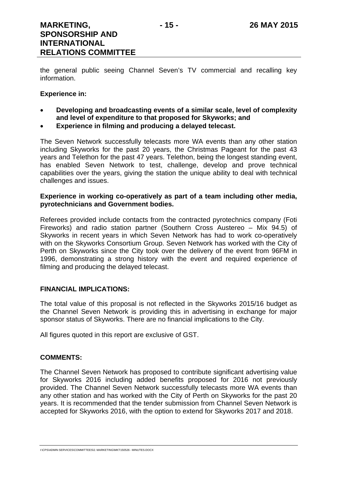the general public seeing Channel Seven's TV commercial and recalling key information.

#### **Experience in:**

- **Developing and broadcasting events of a similar scale, level of complexity and level of expenditure to that proposed for Skyworks; and**
- **Experience in filming and producing a delayed telecast.**

The Seven Network successfully telecasts more WA events than any other station including Skyworks for the past 20 years, the Christmas Pageant for the past 43 years and Telethon for the past 47 years. Telethon, being the longest standing event, has enabled Seven Network to test, challenge, develop and prove technical capabilities over the years, giving the station the unique ability to deal with technical challenges and issues.

#### **Experience in working co-operatively as part of a team including other media, pyrotechnicians and Government bodies.**

Referees provided include contacts from the contracted pyrotechnics company (Foti Fireworks) and radio station partner (Southern Cross Austereo – Mix 94.5) of Skyworks in recent years in which Seven Network has had to work co-operatively with on the Skyworks Consortium Group. Seven Network has worked with the City of Perth on Skyworks since the City took over the delivery of the event from 96FM in 1996, demonstrating a strong history with the event and required experience of filming and producing the delayed telecast.

#### **FINANCIAL IMPLICATIONS:**

The total value of this proposal is not reflected in the Skyworks 2015/16 budget as the Channel Seven Network is providing this in advertising in exchange for major sponsor status of Skyworks. There are no financial implications to the City.

All figures quoted in this report are exclusive of GST.

#### **COMMENTS:**

The Channel Seven Network has proposed to contribute significant advertising value for Skyworks 2016 including added benefits proposed for 2016 not previously provided. The Channel Seven Network successfully telecasts more WA events than any other station and has worked with the City of Perth on Skyworks for the past 20 years. It is recommended that the tender submission from Channel Seven Network is accepted for Skyworks 2016, with the option to extend for Skyworks 2017 and 2018.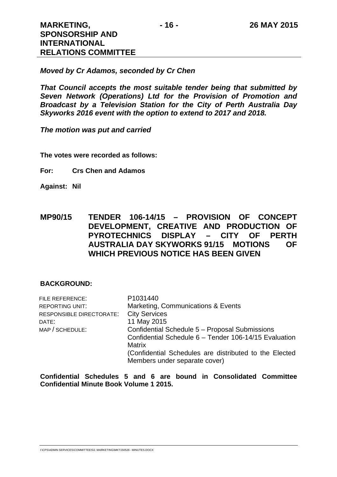*Moved by Cr Adamos, seconded by Cr Chen* 

*That Council accepts the most suitable tender being that submitted by Seven Network (Operations) Ltd for the Provision of Promotion and Broadcast by a Television Station for the City of Perth Australia Day Skyworks 2016 event with the option to extend to 2017 and 2018.* 

*The motion was put and carried* 

**The votes were recorded as follows:** 

**For: Crs Chen and Adamos** 

**Against: Nil** 

**MP90/15 TENDER 106-14/15 – PROVISION OF CONCEPT DEVELOPMENT, CREATIVE AND PRODUCTION OF PYROTECHNICS DISPLAY – CITY OF PERTH AUSTRALIA DAY SKYWORKS 91/15 MOTIONS OF WHICH PREVIOUS NOTICE HAS BEEN GIVEN** 

#### **BACKGROUND:**

| FILE REFERENCE:          | P1031440                                               |  |  |  |
|--------------------------|--------------------------------------------------------|--|--|--|
| <b>REPORTING UNIT:</b>   | Marketing, Communications & Events                     |  |  |  |
| RESPONSIBLE DIRECTORATE: | <b>City Services</b>                                   |  |  |  |
| DATE:                    | 11 May 2015                                            |  |  |  |
| MAP / SCHEDULE:          | Confidential Schedule 5 - Proposal Submissions         |  |  |  |
|                          | Confidential Schedule 6 - Tender 106-14/15 Evaluation  |  |  |  |
|                          | <b>Matrix</b>                                          |  |  |  |
|                          | (Confidential Schedules are distributed to the Elected |  |  |  |
|                          | Members under separate cover)                          |  |  |  |
|                          |                                                        |  |  |  |

**Confidential Schedules 5 and 6 are bound in Consolidated Committee Confidential Minute Book Volume 1 2015.**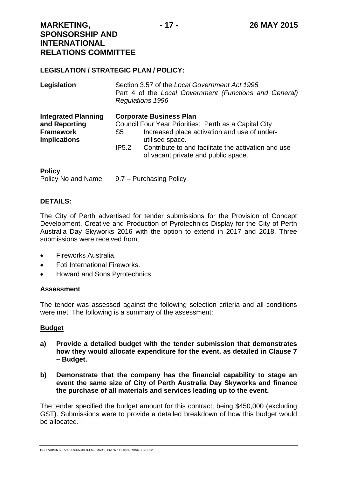## **MARKETING, SPONSORSHIP AND INTERNATIONAL RELATIONS COMMITTEE**

#### **LEGISLATION / STRATEGIC PLAN / POLICY:**

| Legislation                                                                            |                                                                                                                                                                  | Section 3.57 of the Local Government Act 1995<br>Part 4 of the Local Government (Functions and General)<br><b>Regulations 1996</b> |  |  |
|----------------------------------------------------------------------------------------|------------------------------------------------------------------------------------------------------------------------------------------------------------------|------------------------------------------------------------------------------------------------------------------------------------|--|--|
| <b>Integrated Planning</b><br>and Reporting<br><b>Framework</b><br><b>Implications</b> | <b>Corporate Business Plan</b><br>Council Four Year Priorities: Perth as a Capital City<br>Increased place activation and use of under-<br>S5<br>utilised space. |                                                                                                                                    |  |  |
|                                                                                        | IP5.2                                                                                                                                                            | Contribute to and facilitate the activation and use<br>of vacant private and public space.                                         |  |  |
| <b>Policy</b>                                                                          |                                                                                                                                                                  |                                                                                                                                    |  |  |

Policy No and Name: 9.7 – Purchasing Policy

### **DETAILS:**

The City of Perth advertised for tender submissions for the Provision of Concept Development, Creative and Production of Pyrotechnics Display for the City of Perth Australia Day Skyworks 2016 with the option to extend in 2017 and 2018. Three submissions were received from;

- Fireworks Australia.
- Foti International Fireworks.
- Howard and Sons Pyrotechnics.

#### **Assessment**

The tender was assessed against the following selection criteria and all conditions were met. The following is a summary of the assessment:

#### **Budget**

- **a) Provide a detailed budget with the tender submission that demonstrates how they would allocate expenditure for the event, as detailed in Clause 7 – Budget.**
- **b) Demonstrate that the company has the financial capability to stage an event the same size of City of Perth Australia Day Skyworks and finance the purchase of all materials and services leading up to the event.**

The tender specified the budget amount for this contract, being \$450,000 (excluding GST). Submissions were to provide a detailed breakdown of how this budget would be allocated.

I:\CPS\ADMIN SERVICES\COMMITTEES\2. MARKETING\MKT150526 - MINUTES.DOCX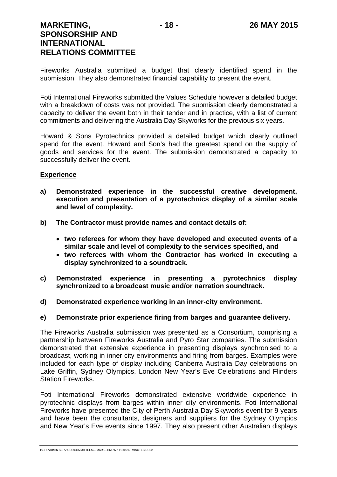Fireworks Australia submitted a budget that clearly identified spend in the submission. They also demonstrated financial capability to present the event.

Foti International Fireworks submitted the Values Schedule however a detailed budget with a breakdown of costs was not provided. The submission clearly demonstrated a capacity to deliver the event both in their tender and in practice, with a list of current commitments and delivering the Australia Day Skyworks for the previous six years.

Howard & Sons Pyrotechnics provided a detailed budget which clearly outlined spend for the event. Howard and Son's had the greatest spend on the supply of goods and services for the event. The submission demonstrated a capacity to successfully deliver the event.

#### **Experience**

- **a) Demonstrated experience in the successful creative development, execution and presentation of a pyrotechnics display of a similar scale and level of complexity.**
- **b) The Contractor must provide names and contact details of:** 
	- **two referees for whom they have developed and executed events of a similar scale and level of complexity to the services specified, and**
	- **two referees with whom the Contractor has worked in executing a display synchronized to a soundtrack.**
- **c) Demonstrated experience in presenting a pyrotechnics display synchronized to a broadcast music and/or narration soundtrack.**
- **d) Demonstrated experience working in an inner-city environment.**

#### **e) Demonstrate prior experience firing from barges and guarantee delivery.**

The Fireworks Australia submission was presented as a Consortium, comprising a partnership between Fireworks Australia and Pyro Star companies. The submission demonstrated that extensive experience in presenting displays synchronised to a broadcast, working in inner city environments and firing from barges. Examples were included for each type of display including Canberra Australia Day celebrations on Lake Griffin, Sydney Olympics, London New Year's Eve Celebrations and Flinders Station Fireworks.

Foti International Fireworks demonstrated extensive worldwide experience in pyrotechnic displays from barges within inner city environments. Foti International Fireworks have presented the City of Perth Australia Day Skyworks event for 9 years and have been the consultants, designers and suppliers for the Sydney Olympics and New Year's Eve events since 1997. They also present other Australian displays

I:\CPS\ADMIN SERVICES\COMMITTEES\2. MARKETING\MKT150526 - MINUTES.DOCX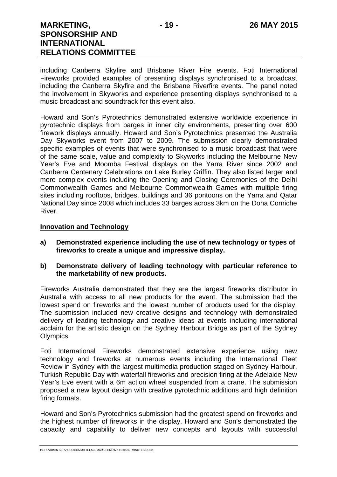including Canberra Skyfire and Brisbane River Fire events. Foti International Fireworks provided examples of presenting displays synchronised to a broadcast including the Canberra Skyfire and the Brisbane Riverfire events. The panel noted the involvement in Skyworks and experience presenting displays synchronised to a music broadcast and soundtrack for this event also.

Howard and Son's Pyrotechnics demonstrated extensive worldwide experience in pyrotechnic displays from barges in inner city environments, presenting over 600 firework displays annually. Howard and Son's Pyrotechnics presented the Australia Day Skyworks event from 2007 to 2009. The submission clearly demonstrated specific examples of events that were synchronised to a music broadcast that were of the same scale, value and complexity to Skyworks including the Melbourne New Year's Eve and Moomba Festival displays on the Yarra River since 2002 and Canberra Centenary Celebrations on Lake Burley Griffin. They also listed larger and more complex events including the Opening and Closing Ceremonies of the Delhi Commonwealth Games and Melbourne Commonwealth Games with multiple firing sites including rooftops, bridges, buildings and 36 pontoons on the Yarra and Qatar National Day since 2008 which includes 33 barges across 3km on the Doha Corniche River.

#### **Innovation and Technology**

- **a) Demonstrated experience including the use of new technology or types of fireworks to create a unique and impressive display.**
- **b) Demonstrate delivery of leading technology with particular reference to the marketability of new products.**

Fireworks Australia demonstrated that they are the largest fireworks distributor in Australia with access to all new products for the event. The submission had the lowest spend on fireworks and the lowest number of products used for the display. The submission included new creative designs and technology with demonstrated delivery of leading technology and creative ideas at events including international acclaim for the artistic design on the Sydney Harbour Bridge as part of the Sydney Olympics.

Foti International Fireworks demonstrated extensive experience using new technology and fireworks at numerous events including the International Fleet Review in Sydney with the largest multimedia production staged on Sydney Harbour, Turkish Republic Day with waterfall fireworks and precision firing at the Adelaide New Year's Eve event with a 6m action wheel suspended from a crane. The submission proposed a new layout design with creative pyrotechnic additions and high definition firing formats.

Howard and Son's Pyrotechnics submission had the greatest spend on fireworks and the highest number of fireworks in the display. Howard and Son's demonstrated the capacity and capability to deliver new concepts and layouts with successful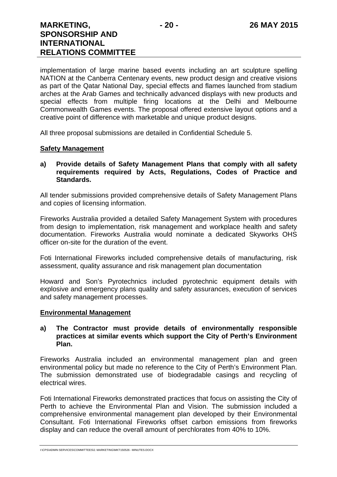## **MARKETING, SPONSORSHIP AND INTERNATIONAL RELATIONS COMMITTEE**

implementation of large marine based events including an art sculpture spelling NATION at the Canberra Centenary events, new product design and creative visions as part of the Qatar National Day, special effects and flames launched from stadium arches at the Arab Games and technically advanced displays with new products and special effects from multiple firing locations at the Delhi and Melbourne Commonwealth Games events. The proposal offered extensive layout options and a creative point of difference with marketable and unique product designs.

All three proposal submissions are detailed in Confidential Schedule 5.

#### **Safety Management**

#### **a) Provide details of Safety Management Plans that comply with all safety requirements required by Acts, Regulations, Codes of Practice and Standards.**

All tender submissions provided comprehensive details of Safety Management Plans and copies of licensing information.

Fireworks Australia provided a detailed Safety Management System with procedures from design to implementation, risk management and workplace health and safety documentation. Fireworks Australia would nominate a dedicated Skyworks OHS officer on-site for the duration of the event.

Foti International Fireworks included comprehensive details of manufacturing, risk assessment, quality assurance and risk management plan documentation

Howard and Son's Pyrotechnics included pyrotechnic equipment details with explosive and emergency plans quality and safety assurances, execution of services and safety management processes.

#### **Environmental Management**

#### **a) The Contractor must provide details of environmentally responsible practices at similar events which support the City of Perth's Environment Plan.**

Fireworks Australia included an environmental management plan and green environmental policy but made no reference to the City of Perth's Environment Plan. The submission demonstrated use of biodegradable casings and recycling of electrical wires.

Foti International Fireworks demonstrated practices that focus on assisting the City of Perth to achieve the Environmental Plan and Vision. The submission included a comprehensive environmental management plan developed by their Environmental Consultant. Foti International Fireworks offset carbon emissions from fireworks display and can reduce the overall amount of perchlorates from 40% to 10%.

I:\CPS\ADMIN SERVICES\COMMITTEES\2. MARKETING\MKT150526 - MINUTES.DOCX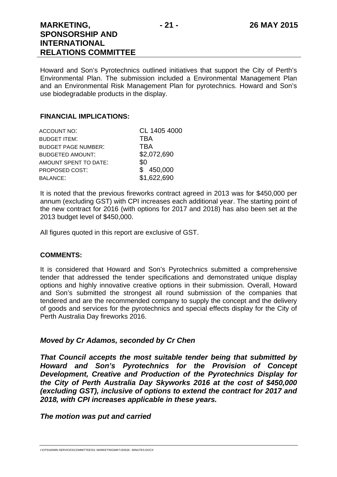Howard and Son's Pyrotechnics outlined initiatives that support the City of Perth's Environmental Plan. The submission included a Environmental Management Plan and an Environmental Risk Management Plan for pyrotechnics. Howard and Son's use biodegradable products in the display.

## **FINANCIAL IMPLICATIONS:**

| <b>ACCOUNT NO:</b>         | CL 1405 4000 |
|----------------------------|--------------|
| <b>BUDGET ITEM:</b>        | TBA          |
| <b>BUDGET PAGE NUMBER:</b> | TBA          |
| <b>BUDGETED AMOUNT:</b>    | \$2,072,690  |
| AMOUNT SPENT TO DATE:      | \$0          |
| PROPOSED COST:             | \$450,000    |
| <b>BALANCE:</b>            | \$1,622,690  |

It is noted that the previous fireworks contract agreed in 2013 was for \$450,000 per annum (excluding GST) with CPI increases each additional year. The starting point of the new contract for 2016 (with options for 2017 and 2018) has also been set at the 2013 budget level of \$450,000.

All figures quoted in this report are exclusive of GST.

## **COMMENTS:**

It is considered that Howard and Son's Pyrotechnics submitted a comprehensive tender that addressed the tender specifications and demonstrated unique display options and highly innovative creative options in their submission. Overall, Howard and Son's submitted the strongest all round submission of the companies that tendered and are the recommended company to supply the concept and the delivery of goods and services for the pyrotechnics and special effects display for the City of Perth Australia Day fireworks 2016.

## *Moved by Cr Adamos, seconded by Cr Chen*

*That Council accepts the most suitable tender being that submitted by Howard and Son's Pyrotechnics for the Provision of Concept Development, Creative and Production of the Pyrotechnics Display for the City of Perth Australia Day Skyworks 2016 at the cost of \$450,000 (excluding GST), inclusive of options to extend the contract for 2017 and 2018, with CPI increases applicable in these years.* 

*The motion was put and carried*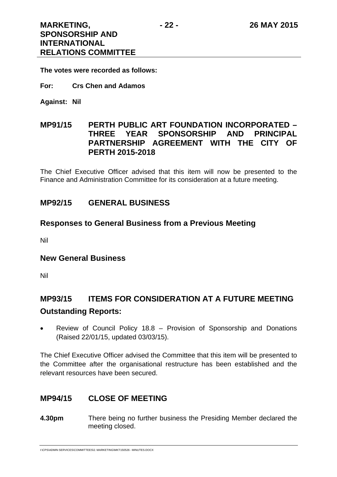**The votes were recorded as follows:** 

- **For: Crs Chen and Adamos**
- **Against: Nil**

## **MP91/15 PERTH PUBLIC ART FOUNDATION INCORPORATED – THREE YEAR SPONSORSHIP AND PRINCIPAL PARTNERSHIP AGREEMENT WITH THE CITY OF PERTH 2015-2018**

The Chief Executive Officer advised that this item will now be presented to the Finance and Administration Committee for its consideration at a future meeting.

## **MP92/15 GENERAL BUSINESS**

## **Responses to General Business from a Previous Meeting**

Nil

## **New General Business**

Nil

## **MP93/15 ITEMS FOR CONSIDERATION AT A FUTURE MEETING**

## **Outstanding Reports:**

 Review of Council Policy 18.8 – Provision of Sponsorship and Donations (Raised 22/01/15, updated 03/03/15).

The Chief Executive Officer advised the Committee that this item will be presented to the Committee after the organisational restructure has been established and the relevant resources have been secured.

## **MP94/15 CLOSE OF MEETING**

**4.30pm** There being no further business the Presiding Member declared the meeting closed.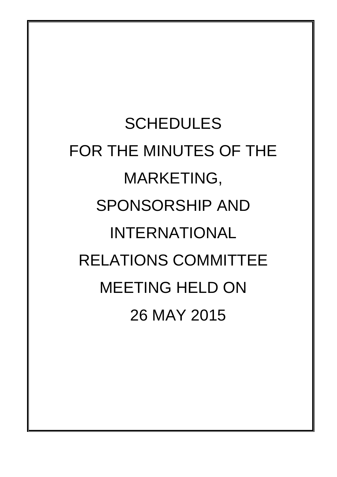**SCHEDULES** FOR THE MINUTES OF THE MARKETING, SPONSORSHIP AND INTERNATIONAL RELATIONS COMMITTEE MEETING HELD ON 26 MAY 2015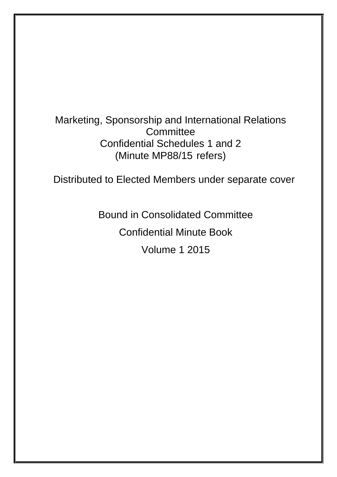# Marketing, Sponsorship and International Relations **Committee** Confidential Schedules 1 and 2 (Minute MP88/15 refers)

Distributed to Elected Members under separate cover

Bound in Consolidated Committee

Confidential Minute Book

Volume 1 2015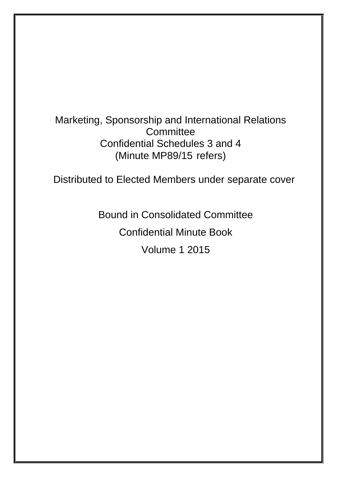# Marketing, Sponsorship and International Relations **Committee** Confidential Schedules 3 and 4 (Minute MP89/15 refers)

Distributed to Elected Members under separate cover

Bound in Consolidated Committee

Confidential Minute Book

Volume 1 2015